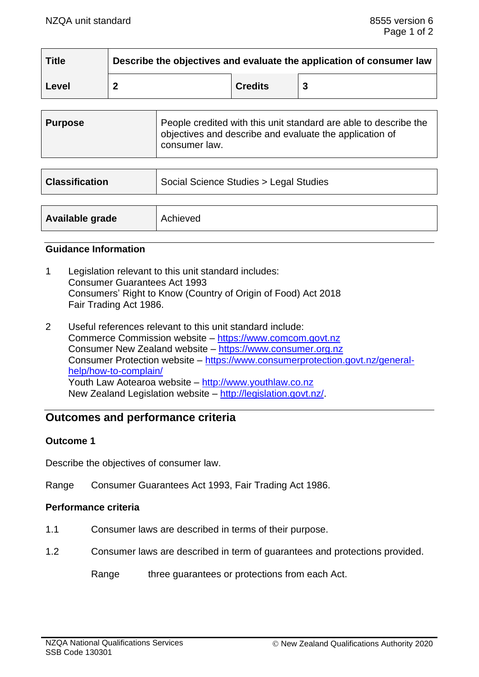| <b>Title</b> | Describe the objectives and evaluate the application of consumer law |                |  |
|--------------|----------------------------------------------------------------------|----------------|--|
| Level        |                                                                      | <b>Credits</b> |  |

| <b>Purpose</b> | People credited with this unit standard are able to describe the<br>objectives and describe and evaluate the application of<br>consumer law. |
|----------------|----------------------------------------------------------------------------------------------------------------------------------------------|
|----------------|----------------------------------------------------------------------------------------------------------------------------------------------|

| <b>Classification</b> | Social Science Studies > Legal Studies |  |
|-----------------------|----------------------------------------|--|
|                       |                                        |  |
| Available grade       | Achieved                               |  |

#### **Guidance Information**

- 1 Legislation relevant to this unit standard includes: Consumer Guarantees Act 1993 Consumers' Right to Know (Country of Origin of Food) Act 2018 Fair Trading Act 1986.
- 2 Useful references relevant to this unit standard include: Commerce Commission website – [https://www.comcom.govt.nz](https://www.comcom.govt.nz/) Consumer New Zealand website – [https://www.consumer.org.nz](https://www.consumer.org.nz/) Consumer Protection website – [https://www.consumerprotection.govt.nz/general](https://www.consumerprotection.govt.nz/general-help/how-to-complain/)[help/how-to-complain/](https://www.consumerprotection.govt.nz/general-help/how-to-complain/) Youth Law Aotearoa website – [http://www.youthlaw.co.nz](http://www.youthlaw.co.nz/) New Zealand Legislation website – [http://legislation.govt.nz/.](http://legislation.govt.nz/)

## **Outcomes and performance criteria**

### **Outcome 1**

Describe the objectives of consumer law.

Range Consumer Guarantees Act 1993, Fair Trading Act 1986.

### **Performance criteria**

- 1.1 Consumer laws are described in terms of their purpose.
- 1.2 Consumer laws are described in term of guarantees and protections provided.

Range three guarantees or protections from each Act.